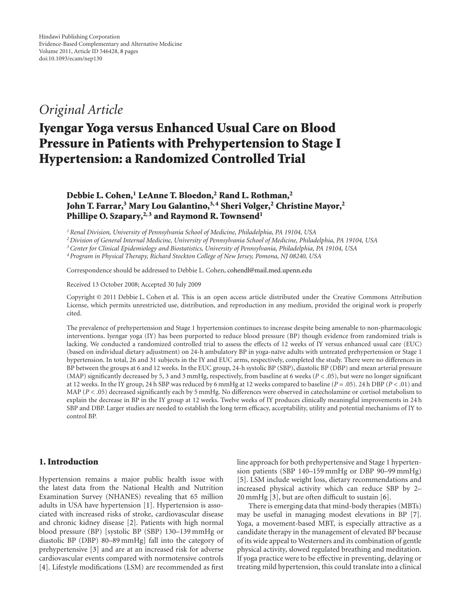# *Original Article*

# Iyengar Yoga versus Enhanced Usual Care on Blood Pressure in Patients with Prehypertension to Stage I Hypertension: a Randomized Controlled Trial

Debbie L. Cohen,<sup>1</sup> LeAnne T. Bloedon,<sup>2</sup> Rand L. Rothman,<sup>2</sup> John T. Farrar,<sup>3</sup> Mary Lou Galantino,<sup>3,4</sup> Sheri Volger,<sup>2</sup> Christine Mayor,<sup>2</sup> Phillipe O. Szapary,<sup>2,3</sup> and Raymond R. Townsend<sup>1</sup>

*1Renal Division, University of Pennsylvania School of Medicine, Philadelphia, PA 19104, USA*

*2Division of General Internal Medicine, University of Pennsylvania School of Medicine, Philadelphia, PA 19104, USA*

*3Center for Clinical Epidemiology and Biostatistics, University of Pennsylvania, Philadelphia, PA 19104, USA*

*4Program in Physical Therapy, Richard Stockton College of New Jersey, Pomona, NJ 08240, USA*

Correspondence should be addressed to Debbie L. Cohen, cohendl@mail.med.upenn.edu

Received 13 October 2008; Accepted 30 July 2009

Copyright © 2011 Debbie L. Cohen et al. This is an open access article distributed under the Creative Commons Attribution License, which permits unrestricted use, distribution, and reproduction in any medium, provided the original work is properly cited.

The prevalence of prehypertension and Stage 1 hypertension continues to increase despite being amenable to non-pharmacologic interventions. Iyengar yoga (IY) has been purported to reduce blood pressure (BP) though evidence from randomized trials is lacking. We conducted a randomized controlled trial to assess the effects of 12 weeks of IY versus enhanced usual care (EUC) (based on individual dietary adjustment) on 24-h ambulatory BP in yoga-naïve adults with untreated prehypertension or Stage 1 hypertension. In total, 26 and 31 subjects in the IY and EUC arms, respectively, completed the study. There were no differences in BP between the groups at 6 and 12 weeks. In the EUC group, 24-h systolic BP (SBP), diastolic BP (DBP) and mean arterial pressure (MAP) significantly decreased by 5, 3 and 3 mmHg, respectively, from baseline at 6 weeks (*P <* .05), but were no longer significant at 12 weeks. In the IY group, 24 h SBP was reduced by 6 mmHg at 12 weeks compared to baseline (*P* = .05). 24 h DBP (*P <* .01) and MAP ( $P$  < .05) decreased significantly each by 5 mmHg. No differences were observed in catecholamine or cortisol metabolism to explain the decrease in BP in the IY group at 12 weeks. Twelve weeks of IY produces clinically meaningful improvements in 24 h SBP and DBP. Larger studies are needed to establish the long term efficacy, acceptability, utility and potential mechanisms of IY to control BP.

#### 1. Introduction

Hypertension remains a major public health issue with the latest data from the National Health and Nutrition Examination Survey (NHANES) revealing that 65 million adults in USA have hypertension [1]. Hypertension is associated with increased risks of stroke, cardiovascular disease and chronic kidney disease [2]. Patients with high normal blood pressure (BP) [systolic BP (SBP) 130–139 mmHg or diastolic BP (DBP) 80–89 mmHg] fall into the category of prehypertensive [3] and are at an increased risk for adverse cardiovascular events compared with normotensive controls [4]. Lifestyle modifications (LSM) are recommended as first line approach for both prehypertensive and Stage 1 hypertension patients (SBP 140–159 mmHg or DBP 90–99 mmHg) [5]. LSM include weight loss, dietary recommendations and increased physical activity which can reduce SBP by 2– 20 mmHg [3], but are often difficult to sustain [6].

There is emerging data that mind-body therapies (MBTs) may be useful in managing modest elevations in BP [7]. Yoga, a movement-based MBT, is especially attractive as a candidate therapy in the management of elevated BP because of its wide appeal to Westerners and its combination of gentle physical activity, slowed regulated breathing and meditation. If yoga practice were to be effective in preventing, delaying or treating mild hypertension, this could translate into a clinical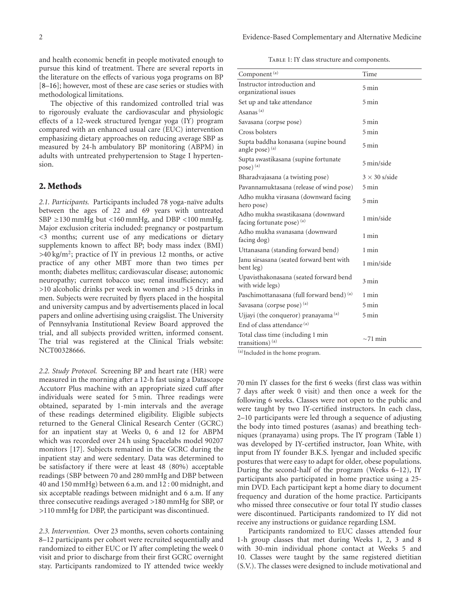and health economic benefit in people motivated enough to pursue this kind of treatment. There are several reports in the literature on the effects of various yoga programs on BP [8–16]; however, most of these are case series or studies with methodological limitations.

The objective of this randomized controlled trial was to rigorously evaluate the cardiovascular and physiologic effects of a 12-week structured Iyengar yoga (IY) program compared with an enhanced usual care (EUC) intervention emphasizing dietary approaches on reducing average SBP as measured by 24-h ambulatory BP monitoring (ABPM) in adults with untreated prehypertension to Stage I hypertension.

## 2. Methods

2.1. Participants. Participants included 78 yoga-naïve adults between the ages of 22 and 69 years with untreated SBP ≥130 mmHg but *<*160 mmHg, and DBP *<*100 mmHg. Major exclusion criteria included: pregnancy or postpartum *<*3 months; current use of any medications or dietary supplements known to affect BP; body mass index (BMI) *>*40 kg/m2; practice of IY in previous 12 months, or active practice of any other MBT more than two times per month; diabetes mellitus; cardiovascular disease; autonomic neuropathy; current tobacco use; renal insufficiency; and *>*10 alcoholic drinks per week in women and *>*15 drinks in men. Subjects were recruited by flyers placed in the hospital and university campus and by advertisements placed in local papers and online advertising using craigslist. The University of Pennsylvania Institutional Review Board approved the trial, and all subjects provided written, informed consent. The trial was registered at the Clinical Trials website: NCT00328666.

*2.2. Study Protocol.* Screening BP and heart rate (HR) were measured in the morning after a 12-h fast using a Datascope Accutorr Plus machine with an appropriate sized cuff after individuals were seated for 5 min. Three readings were obtained, separated by 1-min intervals and the average of these readings determined eligibility. Eligible subjects returned to the General Clinical Research Center (GCRC) for an inpatient stay at Weeks 0, 6 and 12 for ABPM which was recorded over 24 h using Spacelabs model 90207 monitors [17]. Subjects remained in the GCRC during the inpatient stay and were sedentary. Data was determined to be satisfactory if there were at least 48 (80%) acceptable readings (SBP between 70 and 280 mmHg and DBP between 40 and 150 mmHg) between 6 a.m. and 12 : 00 midnight, and six acceptable readings between midnight and 6 a.m. If any three consecutive readings averaged *>*180 mmHg for SBP, or *>*110 mmHg for DBP, the participant was discontinued.

*2.3. Intervention.* Over 23 months, seven cohorts containing 8–12 participants per cohort were recruited sequentially and randomized to either EUC or IY after completing the week 0 visit and prior to discharge from their first GCRC overnight stay. Participants randomized to IY attended twice weekly

TABLE 1: IY class structure and components.

| Component <sup>(a)</sup>                                          | Time                 |  |  |
|-------------------------------------------------------------------|----------------------|--|--|
| Instructor introduction and                                       | $5 \text{ min}$      |  |  |
| organizational issues                                             |                      |  |  |
| Set up and take attendance                                        | 5 min                |  |  |
| Asanas $(a)$                                                      |                      |  |  |
| Savasana (corpse pose)                                            | 5 min                |  |  |
| Cross bolsters                                                    | $5 \text{ min}$      |  |  |
| Supta baddha konasana (supine bound<br>angle pose) <sup>(a)</sup> | $5 \text{ min}$      |  |  |
| Supta swastikasana (supine fortunate<br>pose) (a)                 | 5 min/side           |  |  |
| Bharadvajasana (a twisting pose)                                  | $3 \times 30$ s/side |  |  |
| Pavannamuktasana (release of wind pose)                           | 5 min                |  |  |
| Adho mukha virasana (downward facing<br>hero pose)                | $5 \text{ min}$      |  |  |
| Adho mukha swastikasana (downward<br>facing fortunate pose) (a)   | 1 min/side           |  |  |
| Adho mukha svanasana (downward<br>facing dog)                     | 1 min                |  |  |
| Uttanasana (standing forward bend)                                | 1 min                |  |  |
| Janu sirsasana (seated forward bent with<br>bent leg)             | 1 min/side           |  |  |
| Upavisthakonasana (seated forward bend<br>with wide legs)         | 3 min                |  |  |
| Paschimottanasana (full forward bend) (a)                         | 1 min                |  |  |
| Savasana (corpse pose) <sup>(a)</sup>                             | $5 \text{ min}$      |  |  |
| Ujjayi (the conqueror) pranayama (a)                              | 5 min                |  |  |
| End of class attendance <sup>(a)</sup>                            |                      |  |  |
| Total class time (including 1 min<br>transitions) $(a)$           | $\sim$ 71 min        |  |  |

(a)Included in the home program.

70 min IY classes for the first 6 weeks (first class was within 7 days after week 0 visit) and then once a week for the following 6 weeks. Classes were not open to the public and were taught by two IY-certified instructors. In each class, 2–10 participants were led through a sequence of adjusting the body into timed postures (asanas) and breathing techniques (pranayama) using props. The IY program (Table 1) was developed by IY-certified instructor, Joan White, with input from IY founder B.K.S. Iyengar and included specific postures that were easy to adapt for older, obese populations. During the second-half of the program (Weeks 6–12), IY participants also participated in home practice using a 25 min DVD. Each participant kept a home diary to document frequency and duration of the home practice. Participants who missed three consecutive or four total IY studio classes were discontinued. Participants randomized to IY did not receive any instructions or guidance regarding LSM.

Participants randomized to EUC classes attended four 1-h group classes that met during Weeks 1, 2, 3 and 8 with 30-min individual phone contact at Weeks 5 and 10. Classes were taught by the same registered dietitian (S.V.). The classes were designed to include motivational and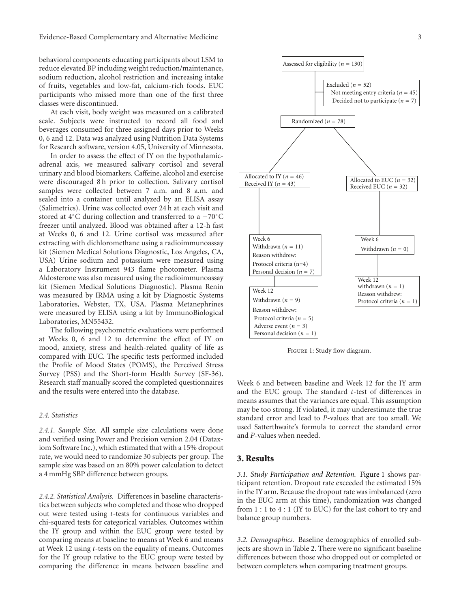behavioral components educating participants about LSM to reduce elevated BP including weight reduction/maintenance, sodium reduction, alcohol restriction and increasing intake of fruits, vegetables and low-fat, calcium-rich foods. EUC participants who missed more than one of the first three classes were discontinued.

At each visit, body weight was measured on a calibrated scale. Subjects were instructed to record all food and beverages consumed for three assigned days prior to Weeks 0, 6 and 12. Data was analyzed using Nutrition Data Systems for Research software, version 4.05, University of Minnesota.

In order to assess the effect of IY on the hypothalamicadrenal axis, we measured salivary cortisol and several urinary and blood biomarkers. Caffeine, alcohol and exercise were discouraged 8 h prior to collection. Salivary cortisol samples were collected between 7 a.m. and 8 a.m. and sealed into a container until analyzed by an ELISA assay (Salimetrics). Urine was collected over 24 h at each visit and stored at 4◦C during collection and transferred to a −70◦C freezer until analyzed. Blood was obtained after a 12-h fast at Weeks 0, 6 and 12. Urine cortisol was measured after extracting with dichloromethane using a radioimmunoassay kit (Siemen Medical Solutions Diagnostic, Los Angeles, CA, USA) Urine sodium and potassium were measured using a Laboratory Instrument 943 flame photometer. Plasma Aldosterone was also measured using the radioimmunoassay kit (Siemen Medical Solutions Diagnostic). Plasma Renin was measured by IRMA using a kit by Diagnostic Systems Laboratories, Webster, TX, USA. Plasma Metanephrines were measured by ELISA using a kit by ImmunoBiological Laboratories, MN55432.

The following psychometric evaluations were performed at Weeks 0, 6 and 12 to determine the effect of IY on mood, anxiety, stress and health-related quality of life as compared with EUC. The specific tests performed included the Profile of Mood States (POMS), the Perceived Stress Survey (PSS) and the Short-form Health Survey (SF-36). Research staff manually scored the completed questionnaires and the results were entered into the database.

#### *2.4. Statistics*

*2.4.1. Sample Size.* All sample size calculations were done and verified using Power and Precision version 2.04 (Dataxiom Software Inc.), which estimated that with a 15% dropout rate, we would need to randomize 30 subjects per group. The sample size was based on an 80% power calculation to detect a 4 mmHg SBP difference between groups.

*2.4.2. Statistical Analysis.* Differences in baseline characteristics between subjects who completed and those who dropped out were tested using *t*-tests for continuous variables and chi-squared tests for categorical variables. Outcomes within the IY group and within the EUC group were tested by comparing means at baseline to means at Week 6 and means at Week 12 using *t*-tests on the equality of means. Outcomes for the IY group relative to the EUC group were tested by comparing the difference in means between baseline and



Figure 1: Study flow diagram.

Week 6 and between baseline and Week 12 for the IY arm and the EUC group. The standard *t*-test of differences in means assumes that the variances are equal. This assumption may be too strong. If violated, it may underestimate the true standard error and lead to *P*-values that are too small. We used Satterthwaite's formula to correct the standard error and *P*-values when needed.

#### 3. Results

*3.1. Study Participation and Retention.* Figure 1 shows participant retention. Dropout rate exceeded the estimated 15% in the IY arm. Because the dropout rate was imbalanced (zero in the EUC arm at this time), randomization was changed from 1 : 1 to 4 : 1 (IY to EUC) for the last cohort to try and balance group numbers.

*3.2. Demographics.* Baseline demographics of enrolled subjects are shown in Table 2. There were no significant baseline differences between those who dropped out or completed or between completers when comparing treatment groups.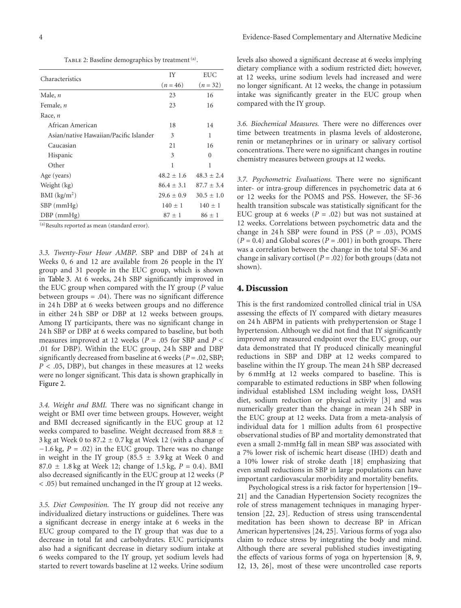TABLE 2: Baseline demographics by treatment (a).

| Characteristics                        | IY             | <b>EUC</b>     |  |
|----------------------------------------|----------------|----------------|--|
|                                        | $(n = 46)$     |                |  |
| Male, $n$                              | 23             | 16             |  |
| Female, <i>n</i>                       | 23             | 16             |  |
| Race, $n$                              |                |                |  |
| African American                       | 18             | 14             |  |
| Asian/native Hawaiian/Pacific Islander | 3              | 1              |  |
| Caucasian                              | 21             | 16             |  |
| Hispanic                               | 3              | $\Omega$       |  |
| Other                                  | 1              | 1              |  |
| Age (years)                            | $48.2 + 1.6$   | $48.3 + 2.4$   |  |
| Weight (kg)                            | $86.4 \pm 3.1$ | $87.7 \pm 3.4$ |  |
| BMI (kg/m <sup>2</sup> )               | $29.6 \pm 0.9$ | $30.5 \pm 1.0$ |  |
| $SBP$ (mmHg)                           | $140 \pm 1$    | $140 \pm 1$    |  |
| $DBP$ (mmHg)                           | $87 \pm 1$     | $86 \pm 1$     |  |

(a)Results reported as mean (standard error).

*3.3. Twenty-Four Hour AMBP.* SBP and DBP of 24 h at Weeks 0, 6 and 12 are available from 26 people in the IY group and 31 people in the EUC group, which is shown in Table 3. At 6 weeks, 24 h SBP significantly improved in the EUC group when compared with the IY group (*P* value between groups = .04). There was no significant difference in 24 h DBP at 6 weeks between groups and no difference in either 24 h SBP or DBP at 12 weeks between groups. Among IY participants, there was no significant change in 24 h SBP or DBP at 6 weeks compared to baseline, but both measures improved at 12 weeks (*P* = .05 for SBP and *P <* .01 for DBP). Within the EUC group, 24 h SBP and DBP significantly decreased from baseline at 6 weeks (*P* = .02, SBP; *P <* .05, DBP), but changes in these measures at 12 weeks were no longer significant. This data is shown graphically in Figure 2.

*3.4. Weight and BMI.* There was no significant change in weight or BMI over time between groups. However, weight and BMI decreased significantly in the EUC group at 12 weeks compared to baseline. Weight decreased from 88.8 ± 3 kg at Week 0 to  $87.2 \pm 0.7$  kg at Week 12 (with a change of −1.6 kg, *P* = .02) in the EUC group. There was no change in weight in the IY group (85.5  $\pm$  3.9 kg at Week 0 and 87.0 ± 1.8 kg at Week 12; change of 1.5 kg, *P* = 0.4). BMI also decreased significantly in the EUC group at 12 weeks (*P <* .05) but remained unchanged in the IY group at 12 weeks.

*3.5. Diet Composition.* The IY group did not receive any individualized dietary instructions or guidelines. There was a significant decrease in energy intake at 6 weeks in the EUC group compared to the IY group that was due to a decrease in total fat and carbohydrates. EUC participants also had a significant decrease in dietary sodium intake at 6 weeks compared to the IY group, yet sodium levels had started to revert towards baseline at 12 weeks. Urine sodium

levels also showed a significant decrease at 6 weeks implying dietary compliance with a sodium restricted diet; however, at 12 weeks, urine sodium levels had increased and were no longer significant. At 12 weeks, the change in potassium intake was significantly greater in the EUC group when compared with the IY group.

*3.6. Biochemical Measures.* There were no differences over time between treatments in plasma levels of aldosterone, renin or metanephrines or in urinary or salivary cortisol concentrations. There were no significant changes in routine chemistry measures between groups at 12 weeks.

*3.7. Psychometric Evaluations.* There were no significant inter- or intra-group differences in psychometric data at 6 or 12 weeks for the POMS and PSS. However, the SF-36 health transition subscale was statistically significant for the EUC group at 6 weeks  $(P = .02)$  but was not sustained at 12 weeks. Correlations between psychometric data and the change in 24 h SBP were found in PSS  $(P = .03)$ , POMS  $(P = 0.4)$  and Global scores  $(P = .001)$  in both groups. There was a correlation between the change in the total SF-36 and change in salivary cortisol ( $P = .02$ ) for both groups (data not shown).

#### 4. Discussion

This is the first randomized controlled clinical trial in USA assessing the effects of IY compared with dietary measures on 24 h ABPM in patients with prehypertension or Stage I hypertension. Although we did not find that IY significantly improved any measured endpoint over the EUC group, our data demonstrated that IY produced clinically meaningful reductions in SBP and DBP at 12 weeks compared to baseline within the IY group. The mean 24 h SBP decreased by 6 mmHg at 12 weeks compared to baseline. This is comparable to estimated reductions in SBP when following individual established LSM including weight loss, DASH diet, sodium reduction or physical activity [3] and was numerically greater than the change in mean 24 h SBP in the EUC group at 12 weeks. Data from a meta-analysis of individual data for 1 million adults from 61 prospective observational studies of BP and mortality demonstrated that even a small 2-mmHg fall in mean SBP was associated with a 7% lower risk of ischemic heart disease (IHD) death and a 10% lower risk of stroke death [18] emphasizing that even small reductions in SBP in large populations can have important cardiovascular morbidity and mortality benefits.

Psychological stress is a risk factor for hypertension [19– 21] and the Canadian Hypertension Society recognizes the role of stress management techniques in managing hypertension [22, 23]. Reduction of stress using transcendental meditation has been shown to decrease BP in African American hypertensives [24, 25]. Various forms of yoga also claim to reduce stress by integrating the body and mind. Although there are several published studies investigating the effects of various forms of yoga on hypertension [8, 9, 12, 13, 26], most of these were uncontrolled case reports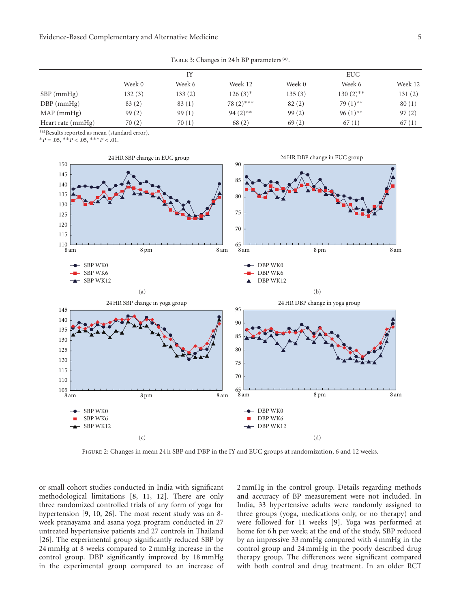TABLE 3: Changes in 24 h BP parameters <sup>(a)</sup>.

|                   | IY     |         | <b>EUC</b>   |        |                        |         |
|-------------------|--------|---------|--------------|--------|------------------------|---------|
|                   | Week 0 | Week 6  | Week 12      | Week 0 | Week 6                 | Week 12 |
| SBP (mmHg)        | 132(3) | 133 (2) | $126(3)^{*}$ | 135(3) | $130(2)$ **            | 131(2)  |
| $DBP$ (mmHg)      | 83(2)  | 83 (1)  | $78(2)$ ***  | 82(2)  | 79 $(1)$ <sup>**</sup> | 80(1)   |
| $MAP$ (mmHg)      | 99(2)  | 99(1)   | $94(2)$ **   | 99(2)  | $96(1)$ <sup>**</sup>  | 97(2)   |
| Heart rate (mmHg) | 70(2)  | 70(1)   | 68(2)        | 69(2)  | 67(1)                  | 67(1)   |

(a)Results reported as mean (standard error).

 $*P = .05, **P < .05, **P < .01.$ 



Figure 2: Changes in mean 24 h SBP and DBP in the IY and EUC groups at randomization, 6 and 12 weeks.

or small cohort studies conducted in India with significant methodological limitations [8, 11, 12]. There are only three randomized controlled trials of any form of yoga for hypertension [9, 10, 26]. The most recent study was an 8 week pranayama and asana yoga program conducted in 27 untreated hypertensive patients and 27 controls in Thailand [26]. The experimental group significantly reduced SBP by 24 mmHg at 8 weeks compared to 2 mmHg increase in the control group. DBP significantly improved by 18 mmHg in the experimental group compared to an increase of 2 mmHg in the control group. Details regarding methods and accuracy of BP measurement were not included. In India, 33 hypertensive adults were randomly assigned to three groups (yoga, medications only, or no therapy) and were followed for 11 weeks [9]. Yoga was performed at home for 6 h per week; at the end of the study, SBP reduced by an impressive 33 mmHg compared with 4 mmHg in the control group and 24 mmHg in the poorly described drug therapy group. The differences were significant compared with both control and drug treatment. In an older RCT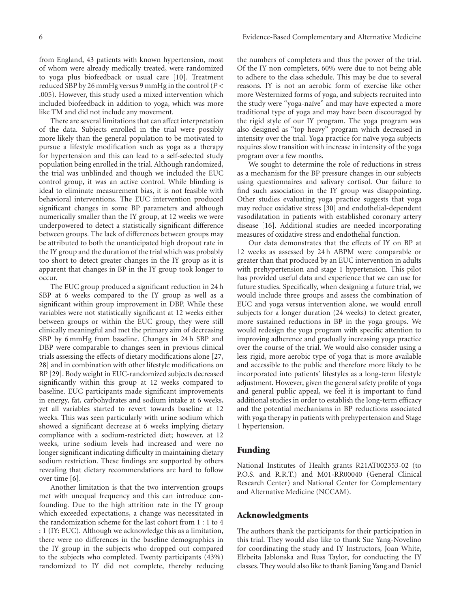like TM and did not include any movement. There are several limitations that can affect interpretation of the data. Subjects enrolled in the trial were possibly more likely than the general population to be motivated to pursue a lifestyle modification such as yoga as a therapy for hypertension and this can lead to a self-selected study population being enrolled in the trial. Although randomized, the trial was unblinded and though we included the EUC control group, it was an active control. While blinding is ideal to eliminate measurement bias, it is not feasible with behavioral interventions. The EUC intervention produced significant changes in some BP parameters and although numerically smaller than the IY group, at 12 weeks we were underpowered to detect a statistically significant difference between groups. The lack of differences between groups may be attributed to both the unanticipated high dropout rate in the IY group and the duration of the trial which was probably too short to detect greater changes in the IY group as it is apparent that changes in BP in the IY group took longer to occur.

The EUC group produced a significant reduction in 24 h SBP at 6 weeks compared to the IY group as well as a significant within group improvement in DBP. While these variables were not statistically significant at 12 weeks either between groups or within the EUC group, they were still clinically meaningful and met the primary aim of decreasing SBP by 6 mmHg from baseline. Changes in 24 h SBP and DBP were comparable to changes seen in previous clinical trials assessing the effects of dietary modifications alone [27, 28] and in combination with other lifestyle modifications on BP [29]. Body weight in EUC-randomized subjects decreased significantly within this group at 12 weeks compared to baseline. EUC participants made significant improvements in energy, fat, carbohydrates and sodium intake at 6 weeks, yet all variables started to revert towards baseline at 12 weeks. This was seen particularly with urine sodium which showed a significant decrease at 6 weeks implying dietary compliance with a sodium-restricted diet; however, at 12 weeks, urine sodium levels had increased and were no longer significant indicating difficulty in maintaining dietary sodium restriction. These findings are supported by others revealing that dietary recommendations are hard to follow over time [6].

Another limitation is that the two intervention groups met with unequal frequency and this can introduce confounding. Due to the high attrition rate in the IY group which exceeded expectations, a change was necessitated in the randomization scheme for the last cohort from 1 : 1 to 4 : 1 (IY: EUC). Although we acknowledge this as a limitation, there were no differences in the baseline demographics in the IY group in the subjects who dropped out compared to the subjects who completed. Twenty participants (43%) randomized to IY did not complete, thereby reducing

the numbers of completers and thus the power of the trial. Of the IY non completers, 60% were due to not being able to adhere to the class schedule. This may be due to several reasons. IY is not an aerobic form of exercise like other more Westernized forms of yoga, and subjects recruited into the study were "yoga-naïve" and may have expected a more traditional type of yoga and may have been discouraged by the rigid style of our IY program. The yoga program was also designed as "top heavy" program which decreased in intensity over the trial. Yoga practice for naïve yoga subjects requires slow transition with increase in intensity of the yoga program over a few months.

We sought to determine the role of reductions in stress as a mechanism for the BP pressure changes in our subjects using questionnaires and salivary cortisol. Our failure to find such association in the IY group was disappointing. Other studies evaluating yoga practice suggests that yoga may reduce oxidative stress [30] and endothelial-dependent vasodilatation in patients with established coronary artery disease [16]. Additional studies are needed incorporating measures of oxidative stress and endothelial function.

Our data demonstrates that the effects of IY on BP at 12 weeks as assessed by 24 h ABPM were comparable or greater than that produced by an EUC intervention in adults with prehypertension and stage 1 hypertension. This pilot has provided useful data and experience that we can use for future studies. Specifically, when designing a future trial, we would include three groups and assess the combination of EUC and yoga versus intervention alone, we would enroll subjects for a longer duration (24 weeks) to detect greater, more sustained reductions in BP in the yoga groups. We would redesign the yoga program with specific attention to improving adherence and gradually increasing yoga practice over the course of the trial. We would also consider using a less rigid, more aerobic type of yoga that is more available and accessible to the public and therefore more likely to be incorporated into patients' lifestyles as a long-term lifestyle adjustment. However, given the general safety profile of yoga and general public appeal, we feel it is important to fund additional studies in order to establish the long-term efficacy and the potential mechanisms in BP reductions associated with yoga therapy in patients with prehypertension and Stage 1 hypertension.

# Funding

National Institutes of Health grants R21AT002353-02 (to P.O.S. and R.R.T.) and M01-RR00040 (General Clinical Research Center) and National Center for Complementary and Alternative Medicine (NCCAM).

# Acknowledgments

The authors thank the participants for their participation in this trial. They would also like to thank Sue Yang-Novelino for coordinating the study and IY Instructors, Joan White, Elzbeita Jablonska and Russ Taylor, for conducting the IY classes. They would also like to thank Jianing Yang and Daniel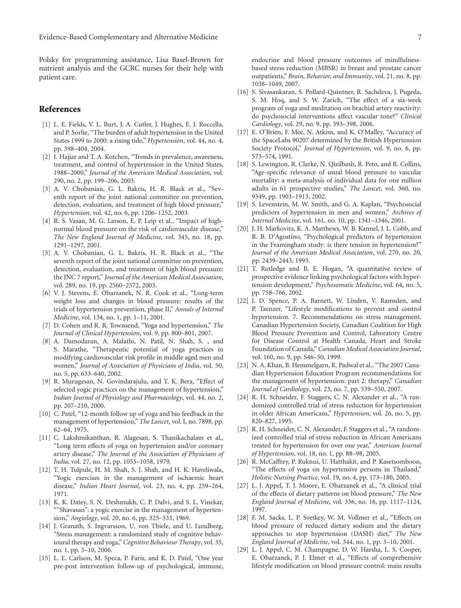Polsky for programming assistance, Lisa Basel-Brown for nutrient analysis and the GCRC nurses for their help with patient care.

#### References

- [1] L. E. Fields, V. L. Burt, J. A. Cutler, J. Hughes, E. J. Roccella, and P. Sorlie, "The burden of adult hypertension in the United States 1999 to 2000: a rising tide," *Hypertension*, vol. 44, no. 4, pp. 398–404, 2004.
- [2] I. Hajjar and T. A. Kotchen, "Trends in prevalence, awareness, treatment, and control of hypertension in the United States, 1988–2000," *Journal of the American Medical Association*, vol. 290, no. 2, pp. 199–206, 2003.
- [3] A. V. Chobanian, G. L. Bakris, H. R. Black et al., "Seventh report of the joint national committee on prevention, detection, evaluation, and treatment of high blood pressure," *Hypertension*, vol. 42, no. 6, pp. 1206–1252, 2003.
- [4] R. S. Vasan, M. G. Larson, E. P. Leip et al., "Impact of highnormal blood pressure on the risk of cardiovascular disease," *The New England Journal of Medicine*, vol. 345, no. 18, pp. 1291–1297, 2001.
- [5] A. V. Chobanian, G. L. Bakris, H. R. Black et al., "The seventh report of the joint national committee on prevention, detection, evaluation, and treatment of high blood pressure: the JNC 7 report," *Journal of the American Medical Association*, vol. 289, no. 19, pp. 2560–2572, 2003.
- [6] V. J. Stevens, E. Obarzanek, N. R. Cook et al., "Long-term weight loss and changes in blood pressure: results of the trials of hypertension prevention, phase II," *Annals of Internal Medicine*, vol. 134, no. 1, pp. 1–11, 2001.
- [7] D. Cohen and R. R. Townsend, "Yoga and hypertension," *The Journal of Clinical Hypertension*, vol. 9, pp. 800–801, 2007.
- [8] A. Damodaran, A. Malathi, N. Patil, N. Shah, S. , and S. Marathe, "Therapeutic potential of yoga practices in modifying cardiovascular risk profile in middle aged men and women," *Journal of Association of Physicians of India*, vol. 50, no. 5, pp. 633–640, 2002.
- [9] R. Murugesan, N. Govindarajulu, and T. K. Bera, "Effect of selected yogic practices on the management of hypertension," *Indian Journal of Physiology and Pharmacology*, vol. 44, no. 2, pp. 207–210, 2000.
- [10] C. Patel, "12-month follow up of yoga and bio feedback in the management of hypertension," *The Lancet*, vol. I, no. 7898, pp. 62–64, 1975.
- [11] C. Lakshmikanthan, R. Alagesan, S. Thanikachalam et al., "Long term effects of yoga on hypertension and/or coronary artery disease," *The Journal of the Association of Physicians of India*, vol. 27, no. 12, pp. 1055–1058, 1979.
- [12] T. H. Tulpule, H. M. Shah, S. J. Shah, and H. K. Haveliwala, "Yogic exercises in the management of ischaemic heart disease," *Indian Heart Journal*, vol. 23, no. 4, pp. 259–264, 1971.
- [13] K. K. Datey, S. N. Deshmukh, C. P. Dalvi, and S. L. Vinekar, ""Shavasan": a yogic exercise in the management of hypertension," *Angiology*, vol. 20, no. 6, pp. 325–333, 1969.
- [14] J. Granath, S. Ingvarsson, U. von Thiele, and U. Lundberg, "Stress management: a randomized study of cognitive behavioural therapy and yoga," *Cognitive Behaviour Therapy*, vol. 35, no. 1, pp. 3–10, 2006.
- [15] L. E. Carlson, M. Speca, P. Faris, and K. D. Patel, "One year pre-post intervention follow-up of psychological, immune,

endocrine and blood pressure outcomes of mindfulnessbased stress reduction (MBSR) in breast and prostate cancer outpatients," *Brain, Behavior, and Immunity*, vol. 21, no. 8, pp. 1038–1049, 2007.

- [16] S. Sivasankaran, S. Pollard-Quintner, R. Sachdeva, J. Pugeda, S. M. Hoq, and S. W. Zarich, "The effect of a six-week program of yoga and meditation on brachial artery reactivity: do psychosocial interventions affect vascular tone?" *Clinical Cardiology*, vol. 29, no. 9, pp. 393–398, 2006.
- [17] E. O'Brien, F. Mee, N. Atkins, and K. O'Malley, "Accuracy of the SpaceLabs 90207 determined by the British Hypertension Society Protocol," *Journal of Hypertension*, vol. 9, no. 6, pp. 573–574, 1991.
- [18] S. Lewington, R. Clarke, N. Qizilbash, R. Peto, and R. Collins, "Age-specific relevance of usual blood pressure to vascular mortality: a meta-analysis of individual data for one million adults in 61 prospective studies," *The Lancet*, vol. 360, no. 9349, pp. 1903–1913, 2002.
- [19] S. Levenstein, M. W. Smith, and G. A. Kaplan, "Psychosocial predictors of hypertension in men and women," *Archives of Internal Medicine*, vol. 161, no. 10, pp. 1341–1346, 2001.
- [20] J. H. Markovitz, K. A. Matthews, W. B. Kannel, J. L. Cobb, and R. B. D'Agostino, "Psychological predictors of hypertension in the Framingham study: is there tension in hypertension?" *Journal of the American Medical Association*, vol. 270, no. 20, pp. 2439–2443, 1993.
- [21] T. Rutledge and B. E. Hogan, "A quantitative review of prospective evidence linking psychological factors with hypertension development," *Psychosomatic Medicine*, vol. 64, no. 5, pp. 758–766, 2002.
- [22] J. D. Spence, P. A. Barnett, W. Linden, V. Ramsden, and P. Taenzer, "Lifestyle modifications to prevent and control hypertension. 7. Recommendations on stress management. Canadian Hypertension Society, Canadian Coalition for High Blood Pressure Prevention and Control, Laboratory Centre for Disease Control at Health Canada, Heart and Stroke Foundation of Canada," *Canadian Medical Association Journal*, vol. 160, no. 9, pp. S46–50, 1999.
- [23] N. A. Khan, B. Hemmelgarn, R. Padwal et al., "The 2007 Canadian Hypertension Education Program recommendations for the management of hypertension: part 2: therapy," *Canadian Journal of Cardiology*, vol. 23, no. 7, pp. 539–550, 2007.
- [24] R. H. Schneider, F. Staggers, C. N. Alexander et al., "A randomized controlled trial of stress reduction for hypertension in older African Americans," *Hypertension*, vol. 26, no. 5, pp. 820–827, 1995.
- [25] R. H. Schneider, C. N. Alexander, F. Staggers et al., "A randomized controlled trial of stress reduction in African Americans treated for hypertension for over one year," *American Journal of Hypertension*, vol. 18, no. 1, pp. 88–98, 2005.
- [26] R. McCaffrey, P. Ruknui, U. Hatthakit, and P. Kasetsomboon, "The effects of yoga on hypertensive persons in Thailand," *Holistic Nursing Practice*, vol. 19, no. 4, pp. 173–180, 2005.
- [27] L. J. Appel, T. J. Moore, E. Obarzanek et al., "A clinical trial of the effects of dietary patterns on blood pressure," *The New England Journal of Medicine*, vol. 336, no. 16, pp. 1117–1124, 1997.
- [28] F. M. Sacks, L. P. Svetkey, W. M. Vollmer et al., "Effects on blood pressure of reduced dietary sodium and the dietary approaches to stop hypertension (DASH) diet," *The New England Journal of Medicine*, vol. 344, no. 1, pp. 3–10, 2001.
- [29] L. J. Appel, C. M. Champagne, D. W. Harsha, L. S. Cooper, E. Obarzanek, P. J. Elmer et al., "Effects of comprehensive lifestyle modification on blood pressure control: main results